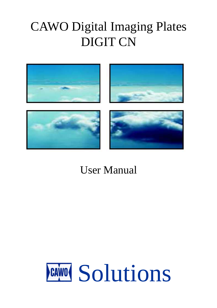# CAWO Digital Imaging Plates DIGIT CN



# User Manual

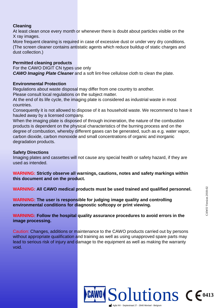# **Cleaning**

At least clean once every month or whenever there is doubt about particles visible on the X ray images.

More frequent cleaning is required in case of excessive dust or under very dry conditions. (The screen cleaner contains antistatic agents which reduce buildup of static charges and dust collection.)

## **Permitted cleaning products**

For the CAWO DIGIT CN types use only **CAWO Imaging Plate Cleaner** and a soft lint-free cellulose cloth to clean the plate.

#### **Environmental Protection**

Regulations about waste disposal may differ from one country to another. Please consult local regulations on the subject matter.

At the end of its life cycle, the imaging plate is considered as industrial waste in most countries.

Consequently it is not allowed to dispose of it as household waste. We recommend to have it hauled away by a licensed company.

When the imaging plate is disposed of through incineration, the nature of the combustion products is dependent on the physical characteristics of the burning process and on the degree of combustion, whereby different gases can be generated, such as e.g. water vapor, carbon dioxide, carbon monoxide and small concentrations of organic and inorganic degradation products.

# **Safety Directions**

Imaging plates and cassettes will not cause any special health or safety hazard, if they are used as intended.

**WARNING: Strictly observe all warnings, cautions, notes and safety markings within this document and on the product.**

**WARNING: All CAWO medical products must be used trained and qualified personnel.**

**WARNING: The user is responsible for judging image quality and controlling environmental conditions for diagnostic softcopy or print viewing.**

**WARNING: Follow the hospital quality assurance procedures to avoid errors in the image processing.**

Caution: Changes, additions or maintenance to the CAWO products carried out by persons without appropriate qualification and training as well as using unapproved spare parts may lead to serious risk of injury and damage to the equipment as well as making the warranty void.